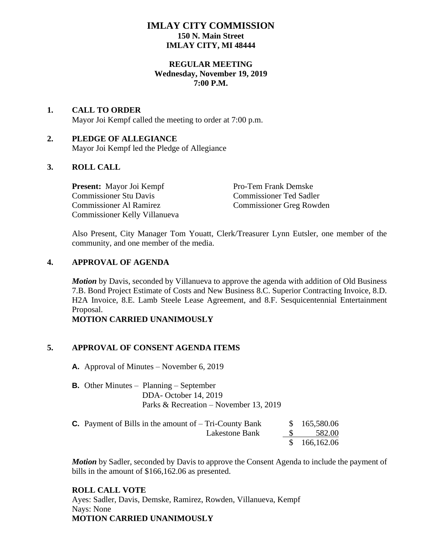# **IMLAY CITY COMMISSION 150 N. Main Street IMLAY CITY, MI 48444**

## **REGULAR MEETING Wednesday, November 19, 2019 7:00 P.M.**

# **1. CALL TO ORDER**

Mayor Joi Kempf called the meeting to order at 7:00 p.m.

# **2. PLEDGE OF ALLEGIANCE**

Mayor Joi Kempf led the Pledge of Allegiance

# **3. ROLL CALL**

**Present:** Mayor Joi Kempf Pro-Tem Frank Demske Commissioner Stu Davis Commissioner Ted Sadler Commissioner Al Ramirez Commissioner Greg Rowden Commissioner Kelly Villanueva

Also Present, City Manager Tom Youatt, Clerk/Treasurer Lynn Eutsler, one member of the community, and one member of the media.

# **4. APPROVAL OF AGENDA**

*Motion* by Davis, seconded by Villanueva to approve the agenda with addition of Old Business 7.B. Bond Project Estimate of Costs and New Business 8.C. Superior Contracting Invoice, 8.D. H2A Invoice, 8.E. Lamb Steele Lease Agreement, and 8.F. Sesquicentennial Entertainment Proposal.

# **MOTION CARRIED UNANIMOUSLY**

# **5. APPROVAL OF CONSENT AGENDA ITEMS**

**A.** Approval of Minutes – November 6, 2019

**B.** Other Minutes – Planning – September DDA- October 14, 2019 Parks & Recreation – November 13, 2019

| <b>C.</b> Payment of Bills in the amount of $-$ Tri-County Bank | \$165,580.06 |
|-----------------------------------------------------------------|--------------|
| Lakestone Bank                                                  | 582.00       |
|                                                                 | \$166,162.06 |

*Motion* by Sadler, seconded by Davis to approve the Consent Agenda to include the payment of bills in the amount of \$166,162.06 as presented.

#### **ROLL CALL VOTE**

Ayes: Sadler, Davis, Demske, Ramirez, Rowden, Villanueva, Kempf Nays: None **MOTION CARRIED UNANIMOUSLY**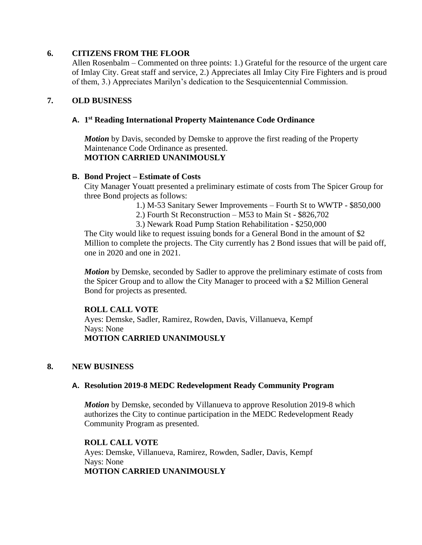# **6. CITIZENS FROM THE FLOOR**

Allen Rosenbalm – Commented on three points: 1.) Grateful for the resource of the urgent care of Imlay City. Great staff and service, 2.) Appreciates all Imlay City Fire Fighters and is proud of them, 3.) Appreciates Marilyn's dedication to the Sesquicentennial Commission.

## **7. OLD BUSINESS**

## **A. 1 st Reading International Property Maintenance Code Ordinance**

*Motion* by Davis, seconded by Demske to approve the first reading of the Property Maintenance Code Ordinance as presented. **MOTION CARRIED UNANIMOUSLY**

#### **B. Bond Project – Estimate of Costs**

City Manager Youatt presented a preliminary estimate of costs from The Spicer Group for three Bond projects as follows:

- 1.) M-53 Sanitary Sewer Improvements Fourth St to WWTP \$850,000
- 2.) Fourth St Reconstruction M53 to Main St \$826,702
- 3.) Newark Road Pump Station Rehabilitation \$250,000

The City would like to request issuing bonds for a General Bond in the amount of \$2 Million to complete the projects. The City currently has 2 Bond issues that will be paid off, one in 2020 and one in 2021.

*Motion* by Demske, seconded by Sadler to approve the preliminary estimate of costs from the Spicer Group and to allow the City Manager to proceed with a \$2 Million General Bond for projects as presented.

#### **ROLL CALL VOTE**

Ayes: Demske, Sadler, Ramirez, Rowden, Davis, Villanueva, Kempf Nays: None **MOTION CARRIED UNANIMOUSLY**

#### **8. NEW BUSINESS**

#### **A. Resolution 2019-8 MEDC Redevelopment Ready Community Program**

*Motion* by Demske, seconded by Villanueva to approve Resolution 2019-8 which authorizes the City to continue participation in the MEDC Redevelopment Ready Community Program as presented.

**ROLL CALL VOTE** Ayes: Demske, Villanueva, Ramirez, Rowden, Sadler, Davis, Kempf Nays: None **MOTION CARRIED UNANIMOUSLY**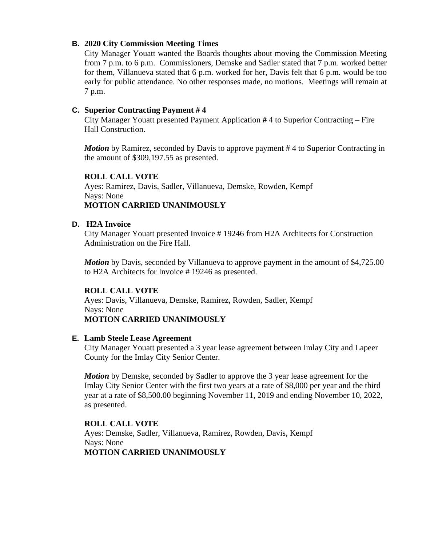## **B. 2020 City Commission Meeting Times**

City Manager Youatt wanted the Boards thoughts about moving the Commission Meeting from 7 p.m. to 6 p.m. Commissioners, Demske and Sadler stated that 7 p.m. worked better for them, Villanueva stated that 6 p.m. worked for her, Davis felt that 6 p.m. would be too early for public attendance. No other responses made, no motions. Meetings will remain at 7 p.m.

### **C. Superior Contracting Payment # 4**

City Manager Youatt presented Payment Application **#** 4 to Superior Contracting – Fire Hall Construction.

*Motion* by Ramirez, seconded by Davis to approve payment #4 to Superior Contracting in the amount of \$309,197.55 as presented.

## **ROLL CALL VOTE**

Ayes: Ramirez, Davis, Sadler, Villanueva, Demske, Rowden, Kempf Nays: None **MOTION CARRIED UNANIMOUSLY**

### **D. H2A Invoice**

City Manager Youatt presented Invoice # 19246 from H2A Architects for Construction Administration on the Fire Hall.

*Motion* by Davis, seconded by Villanueva to approve payment in the amount of \$4,725.00 to H2A Architects for Invoice # 19246 as presented.

#### **ROLL CALL VOTE**

Ayes: Davis, Villanueva, Demske, Ramirez, Rowden, Sadler, Kempf Nays: None **MOTION CARRIED UNANIMOUSLY**

# **E. Lamb Steele Lease Agreement**

City Manager Youatt presented a 3 year lease agreement between Imlay City and Lapeer County for the Imlay City Senior Center.

*Motion* by Demske, seconded by Sadler to approve the 3 year lease agreement for the Imlay City Senior Center with the first two years at a rate of \$8,000 per year and the third year at a rate of \$8,500.00 beginning November 11, 2019 and ending November 10, 2022, as presented.

#### **ROLL CALL VOTE**

Ayes: Demske, Sadler, Villanueva, Ramirez, Rowden, Davis, Kempf Nays: None **MOTION CARRIED UNANIMOUSLY**